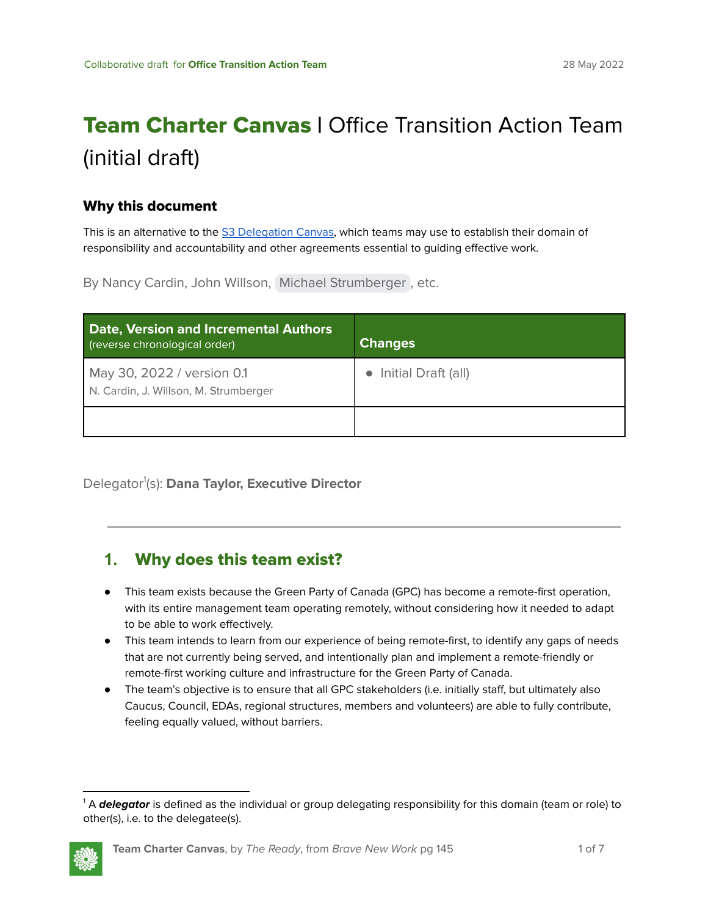# Team Charter Canvas **|** Office Transition Action Team (initial draft)

#### Why this document

This is an alternative to the S3 [Delegation](https://docs.google.com/document/d/1Z7ttO3wuNUGB_hBYGz9crVctdTT07Rzsck4ZOWT6Fuo/copy) Canvas, which teams may use to establish their domain of responsibility and accountability and other agreements essential to guiding effective work.

By Nancy Cardin, John Willson, Michael [Strumberger](mailto:michaelstrumberger@gmail.com) , etc.

| <b>Date, Version and Incremental Authors</b><br>(reverse chronological order) | <b>Changes</b>        |
|-------------------------------------------------------------------------------|-----------------------|
| May 30, 2022 / version 0.1<br>N. Cardin, J. Willson, M. Strumberger           | • Initial Draft (all) |
|                                                                               |                       |

Delegator 1 (s): **Dana Taylor, Executive Director**

#### **1.** Why does this team exist?

- This team exists because the Green Party of Canada (GPC) has become a remote-first operation, with its entire management team operating remotely, without considering how it needed to adapt to be able to work effectively.
- This team intends to learn from our experience of being remote-first, to identify any gaps of needs that are not currently being served, and intentionally plan and implement a remote-friendly or remote-first working culture and infrastructure for the Green Party of Canada.
- The team's objective is to ensure that all GPC stakeholders (i.e. initially staff, but ultimately also Caucus, Council, EDAs, regional structures, members and volunteers) are able to fully contribute, feeling equally valued, without barriers.

<sup>&</sup>lt;sup>1</sup> A **delegator** is defined as the individual or group delegating responsibility for this domain (team or role) to other(s), i.e. to the delegatee(s).

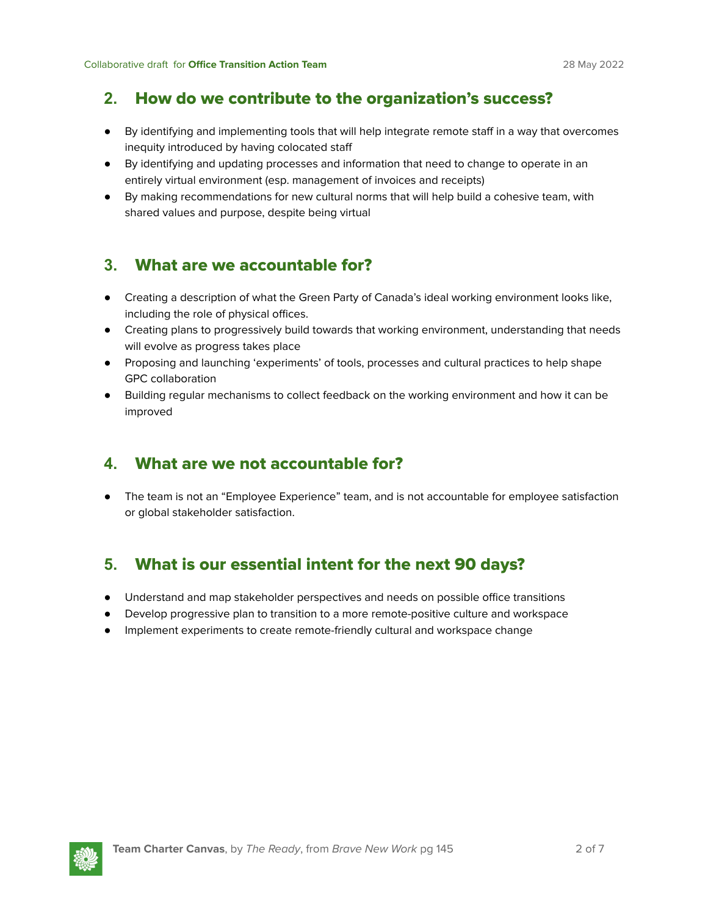#### **2.** How do we contribute to the organization's success?

- By identifying and implementing tools that will help integrate remote staff in a way that overcomes inequity introduced by having colocated staff
- By identifying and updating processes and information that need to change to operate in an entirely virtual environment (esp. management of invoices and receipts)
- By making recommendations for new cultural norms that will help build a cohesive team, with shared values and purpose, despite being virtual

### **3.** What are we accountable for?

- Creating a description of what the Green Party of Canada's ideal working environment looks like, including the role of physical offices.
- Creating plans to progressively build towards that working environment, understanding that needs will evolve as progress takes place
- Proposing and launching 'experiments' of tools, processes and cultural practices to help shape GPC collaboration
- Building regular mechanisms to collect feedback on the working environment and how it can be improved

#### **4.** What are we not accountable for?

● The team is not an "Employee Experience" team, and is not accountable for employee satisfaction or global stakeholder satisfaction.

# **5.** What is our essential intent for the next 90 days?

- Understand and map stakeholder perspectives and needs on possible office transitions
- Develop progressive plan to transition to a more remote-positive culture and workspace
- Implement experiments to create remote-friendly cultural and workspace change

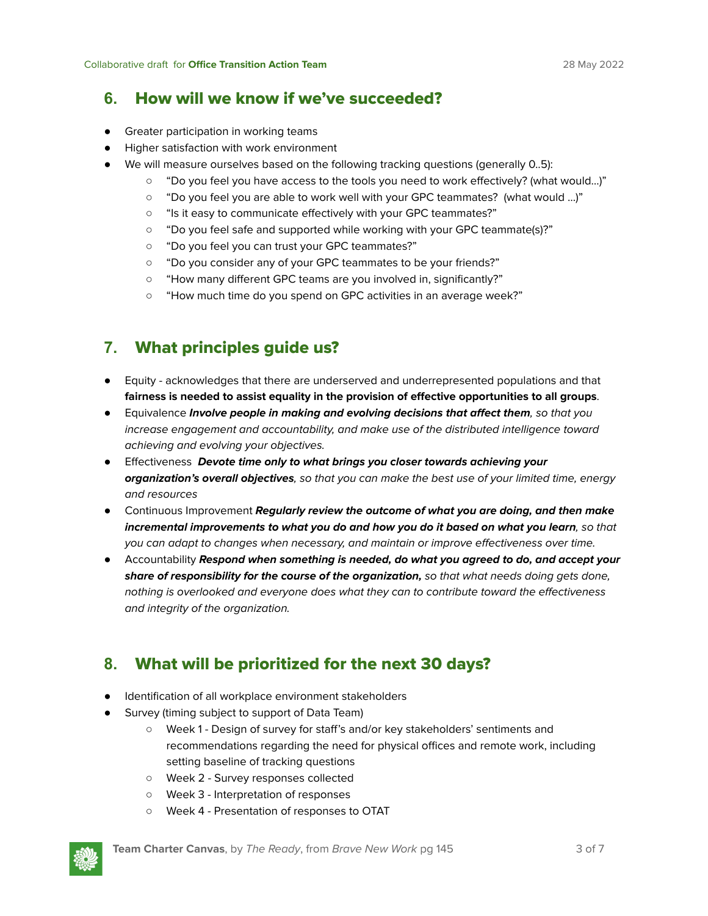#### **6.** How will we know if we've succeeded?

- Greater participation in working teams
- Higher satisfaction with work environment
- We will measure ourselves based on the following tracking questions (generally 0..5):
	- "Do you feel you have access to the tools you need to work effectively? (what would...)"
	- "Do you feel you are able to work well with your GPC teammates? (what would …)"
	- "Is it easy to communicate effectively with your GPC teammates?"
	- "Do you feel safe and supported while working with your GPC teammate(s)?"
	- "Do you feel you can trust your GPC teammates?"
	- "Do you consider any of your GPC teammates to be your friends?"
	- "How many different GPC teams are you involved in, significantly?"
	- "How much time do you spend on GPC activities in an average week?"

# **7.** What principles guide us?

- Equity acknowledges that there are underserved and underrepresented populations and that **fairness is needed to assist equality in the provision of effective opportunities to all groups**.
- Equivalence **Involve people in making and evolving decisions that affect them**, so that you increase engagement and accountability, and make use of the distributed intelligence toward achieving and evolving your objectives.
- Effectiveness **Devote time only to what brings you closer towards achieving your organization's overall objectives**, so that you can make the best use of your limited time, energy and resources
- Continuous Improvement **Regularly review the outcome of what you are doing, and then make incremental improvements to what you do and how you do it based on what you learn**, so that you can adapt to changes when necessary, and maintain or improve effectiveness over time.
- Accountability **Respond when something is needed, do what you agreed to do, and accept your share of responsibility for the course of the organization,** so that what needs doing gets done, nothing is overlooked and everyone does what they can to contribute toward the effectiveness and integrity of the organization.

# **8.** What will be prioritized for the next 30 days?

- Identification of all workplace environment stakeholders
- Survey (timing subject to support of Data Team)
	- Week 1 Design of survey for staff's and/or key stakeholders' sentiments and recommendations regarding the need for physical offices and remote work, including setting baseline of tracking questions
	- Week 2 Survey responses collected
	- Week 3 Interpretation of responses
	- Week 4 Presentation of responses to OTAT

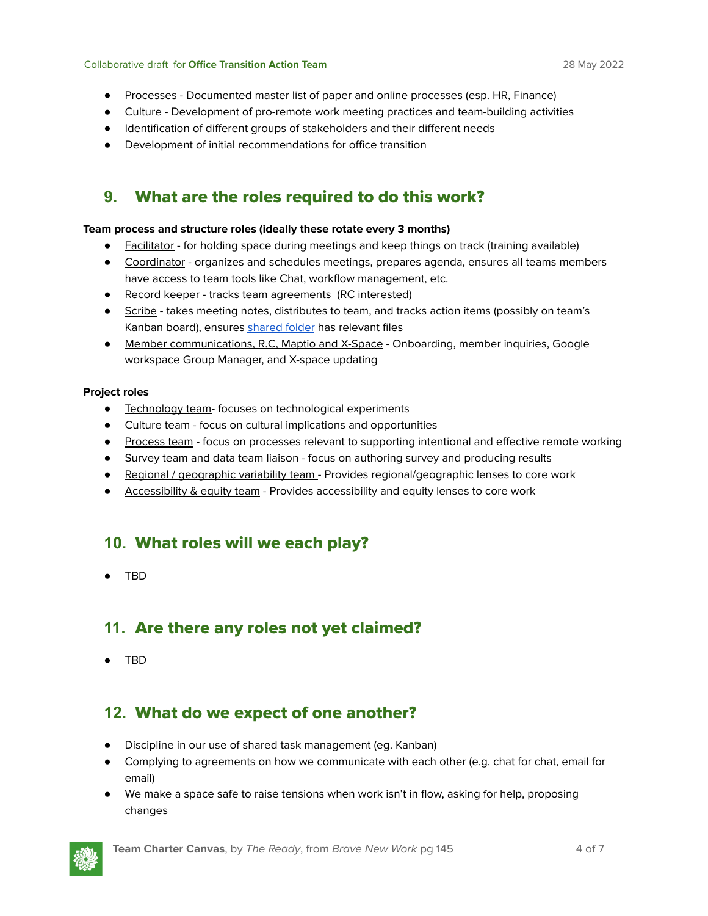#### Collaborative draft for **Office Transition Action Team** 28 May 2022

- Processes Documented master list of paper and online processes (esp. HR, Finance)
- Culture Development of pro-remote work meeting practices and team-building activities
- Identification of different groups of stakeholders and their different needs
- Development of initial recommendations for office transition

## **9.** What are the roles required to do this work?

#### **Team process and structure roles (ideally these rotate every 3 months)**

- Facilitator for holding space during meetings and keep things on track (training available)
- Coordinator organizes and schedules meetings, prepares agenda, ensures all teams members have access to team tools like Chat, workflow management, etc.
- Record keeper tracks team agreements (RC interested)
- Scribe takes meeting notes, distributes to team, and tracks action items (possibly on team's Kanban board), ensures [shared](https://drive.google.com/drive/u/1/folders/0AB7lRvjfqYScUk9PVA) folder has relevant files
- Member communications, R.C. Maptio and X-Space Onboarding, member inquiries, Google workspace Group Manager, and X-space updating

#### **Project roles**

- Technology team- focuses on technological experiments
- Culture team focus on cultural implications and opportunities
- Process team focus on processes relevant to supporting intentional and effective remote working
- **•** Survey team and data team liaison focus on authoring survey and producing results
- Regional / geographic variability team Provides regional/geographic lenses to core work
- Accessibility & equity team Provides accessibility and equity lenses to core work

#### **10.** What roles will we each play?

● TBD

#### **11.** Are there any roles not yet claimed?

● TBD

#### **12.** What do we expect of one another?

- Discipline in our use of shared task management (eg. Kanban)
- Complying to agreements on how we communicate with each other (e.g. chat for chat, email for email)
- We make a space safe to raise tensions when work isn't in flow, asking for help, proposing changes

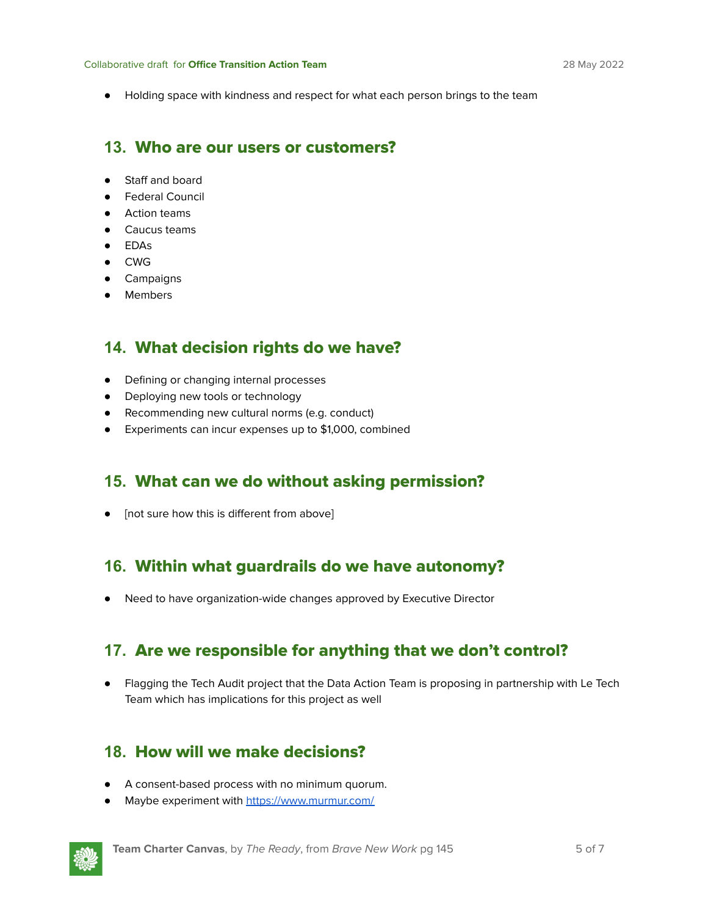● Holding space with kindness and respect for what each person brings to the team

#### **13.** Who are our users or customers?

- Staff and board
- Federal Council
- Action teams
- Caucus teams
- EDAs
- CWG
- Campaigns
- Members

#### **14.** What decision rights do we have?

- Defining or changing internal processes
- Deploying new tools or technology
- Recommending new cultural norms (e.g. conduct)
- Experiments can incur expenses up to \$1,000, combined

#### **15.** What can we do without asking permission?

● [not sure how this is different from above]

#### **16.** Within what guardrails do we have autonomy?

● Need to have organization-wide changes approved by Executive Director

#### **17.** Are we responsible for anything that we don't control?

● Flagging the Tech Audit project that the Data Action Team is proposing in partnership with Le Tech Team which has implications for this project as well

#### **18.** How will we make decisions?

- A consent-based process with no minimum quorum.
- Maybe experiment with <https://www.murmur.com/>

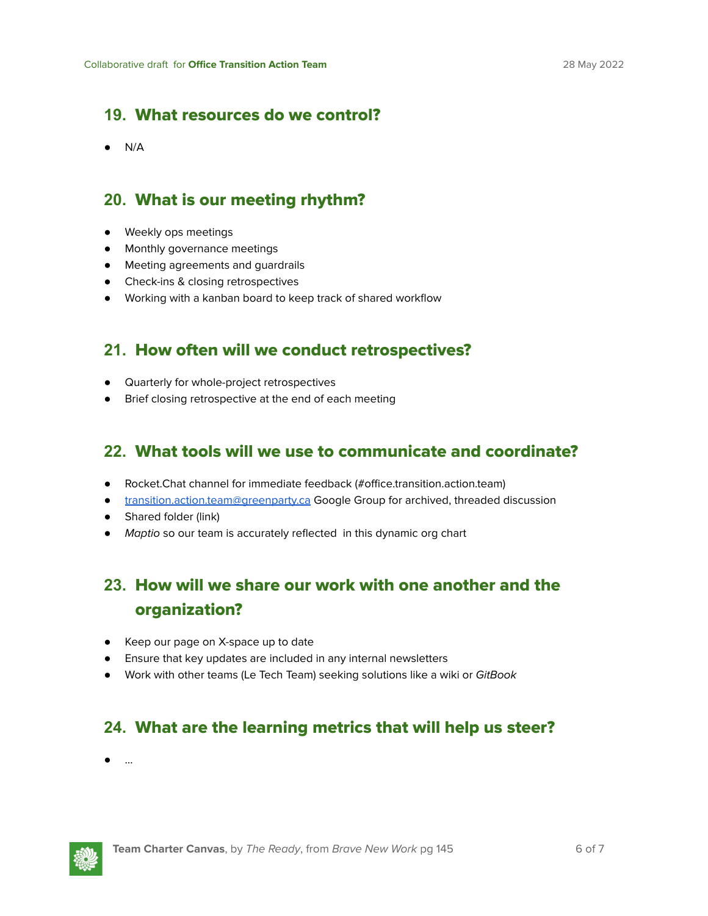### **19.** What resources do we control?

 $\bullet$  N/A

### **20.** What is our meeting rhythm?

- Weekly ops meetings
- Monthly governance meetings
- Meeting agreements and guardrails
- Check-ins & closing retrospectives
- Working with a kanban board to keep track of shared workflow

#### **21.** How often will we conduct retrospectives?

- Quarterly for whole-project retrospectives
- Brief closing retrospective at the end of each meeting

#### **22.** What tools will we use to communicate and coordinate?

- Rocket.Chat channel for immediate feedback (#office.transition.action.team)
- [transition.action.team@greenparty.ca](mailto:transition.action.team@greenparty.ca) Google Group for archived, threaded discussion
- Shared folder (link)
- Maptio so our team is accurately reflected in this dynamic org chart

# **23.** How will we share our work with one another and the organization?

- Keep our page on X-space up to date
- Ensure that key updates are included in any internal newsletters
- Work with other teams (Le Tech Team) seeking solutions like a wiki or GitBook

# **24.** What are the learning metrics that will help us steer?

● …